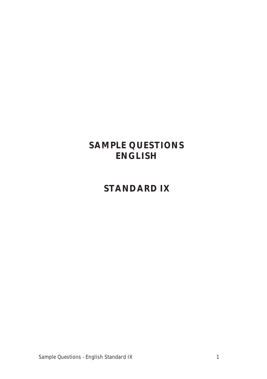# **SAMPLE QUESTIONS ENGLISH**

# **STANDARD IX**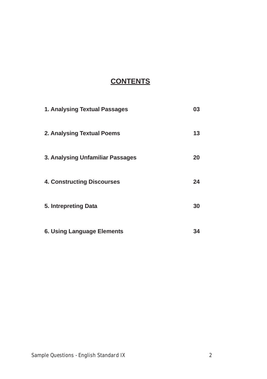# **CONTENTS**

| 1. Analysing Textual Passages     | 03 |
|-----------------------------------|----|
| 2. Analysing Textual Poems        | 13 |
| 3. Analysing Unfamiliar Passages  | 20 |
| <b>4. Constructing Discourses</b> | 24 |
| 5. Intrepreting Data              | 30 |
| <b>6. Using Language Elements</b> | 34 |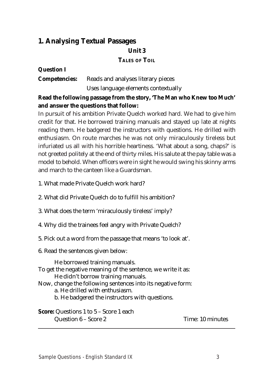# **1. Analysing Textual Passages**

## **Unit 3**

#### **TALES OF TOIL**

## **Question I**

**Competencies:** Reads and analyses literary pieces Uses language elements contextually

## **Read the following passage from the story, 'The Man who Knew too Much' and answer the questions that follow:**

In pursuit of his ambition Private Quelch worked hard. We had to give him credit for that. He borrowed training manuals and stayed up late at nights reading them. He badgered the instructors with questions. He drilled with enthusiasm. On route marches he was not only miraculously tireless but infuriated us all with his horrible heartiness. 'What about a song, chaps?' is not greeted politely at the end of thirty miles. His salute at the pay table was a model to behold. When officers were in sight he would swing his skinny arms and march to the canteen like a Guardsman.

1. What made Private Quelch work hard?

- 2. What did Private Quelch do to fulfill his ambition?
- 3. What does the term 'miraculously tireless' imply?
- 4. Why did the trainees feel angry with Private Quelch?
- 5. Pick out a word from the passage that means 'to look at'.
- 6. Read the sentences given below:

He borrowed training manuals. To get the negative meaning of the sentence, we write it as: He didn't borrow training manuals. Now, change the following sentences into its negative form: a. He drilled with enthusiasm. b. He badgered the instructors with questions.

**Score:** Questions 1 to 5 – Score 1 each Question 6 – Score 2 Time: 10 minutes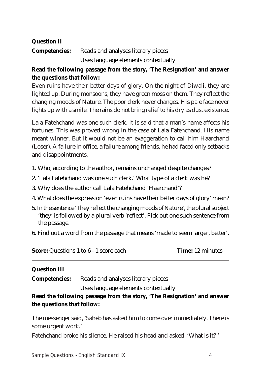## **Question II**

**Competencies:** Reads and analyses literary pieces Uses language elements contextually

## **Read the following passage from the story, 'The Resignation' and answer the questions that follow:**

Even ruins have their better days of glory. On the night of Diwali, they are lighted up. During monsoons, they have green moss on them. They reflect the changing moods of Nature. The poor clerk never changes. His pale face never lights up with a smile. The rains do not bring relief to his dry as dust existence.

Lala Fatehchand was one such clerk. It is said that a man's name affects his fortunes. This was proved wrong in the case of Lala Fatehchand. His name meant winner. But it would not be an exaggeration to call him Haarchand (Loser). A failure in office, a failure among friends, he had faced only setbacks and disappointments.

- 1. Who, according to the author, remains unchanged despite changes?
- 2. 'Lala Fatehchand was one such clerk.' What type of a clerk was he?
- 3. Why does the author call Lala Fatehchand 'Haarchand'?
- 4. What does the expression 'even ruins have their better days of glory' mean?
- 5. In the sentence 'They reflect the changing moods of Nature', the plural subject 'they' is followed by a plural verb 'reflect'. Pick out one such sentence from the passage.
- 6. Find out a word from the passage that means 'made to seem larger, better'.

**Score:** Questions 1 to 6 - 1 score each **Time:** 12 minutes

## **Question III**

**Competencies:** Reads and analyses literary pieces

Uses language elements contextually

## **Read the following passage from the story, 'The Resignation' and answer the questions that follow:**

The messenger said, 'Saheb has asked him to come over immediately. There is some urgent work.'

Fatehchand broke his silence. He raised his head and asked, 'What is it? '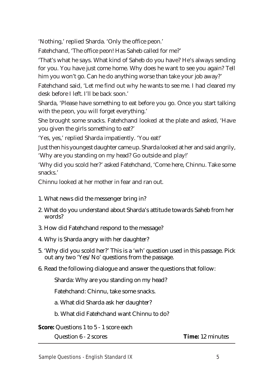'Nothing,' replied Sharda. 'Only the office peon.'

Fatehchand, 'The office peon! Has Saheb called for me?'

'That's what he says. What kind of Saheb do you have? He's always sending for you. You have just come home. Why does he want to see you again? Tell him you won't go. Can he do anything worse than take your job away?'

Fatehchand said, 'Let me find out why he wants to see me. I had cleared my desk before I left. I'll be back soon.'

Sharda, 'Please have something to eat before you go. Once you start talking with the peon, you will forget everything.'

She brought some snacks. Fatehchand looked at the plate and asked, 'Have you given the girls something to eat?'

'Yes, yes,' replied Sharda impatiently. 'You eat!'

Just then his youngest daughter came up. Sharda looked at her and said angrily, 'Why are you standing on my head? Go outside and play!'

'Why did you scold her?' asked Fatehchand, 'Come here, Chinnu. Take some snacks.'

Chinnu looked at her mother in fear and ran out.

- 1. What news did the messenger bring in?
- 2. What do you understand about Sharda's attitude towards Saheb from her words?
- 3. How did Fatehchand respond to the message?
- 4. Why is Sharda angry with her daughter?
- 5. 'Why did you scold her?' This is a 'wh' question used in this passage. Pick out any two 'Yes/No' questions from the passage.
- 6. Read the following dialogue and answer the questions that follow:

Sharda: Why are you standing on my head?

Fatehchand: Chinnu, take some snacks.

a. What did Sharda ask her daughter?

b. What did Fatehchand want Chinnu to do?

**Score:** Questions 1 to 5 - 1 score each

Question 6 - 2 scores **Time:** 12 minutes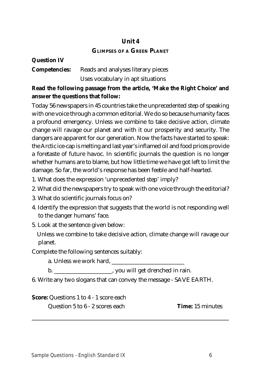## **Unit 4**

## **GLIMPSES OF A GREEN PLANET**

| <b>Question IV</b> |                                                         |
|--------------------|---------------------------------------------------------|
|                    | <b>Competencies:</b> Reads and analyses literary pieces |
|                    | Uses vocabulary in apt situations                       |

## **Read the following passage from the article, 'Make the Right Choice' and answer the questions that follow:**

Today 56 newspapers in 45 countries take the unprecedented step of speaking with one voice through a common editorial. We do so because humanity faces a profound emergency. Unless we combine to take decisive action, climate change will ravage our planet and with it our prosperity and security. The dangers are apparent for our generation. Now the facts have started to speak: the Arctic ice-cap is melting and last year's inflamed oil and food prices provide a foretaste of future havoc. In scientific journals the question is no longer whether humans are to blame, but how little time we have got left to limit the damage. So far, the world's response has been feeble and half-hearted.

1. What does the expression 'unprecedented step' imply?

- 2. What did the newspapers try to speak with one voice through the editorial?
- 3. What do scientific journals focus on?
- 4. Identify the expression that suggests that the world is not responding well to the danger humans' face.
- 5. Look at the sentence given below:

 Unless we combine to take decisive action, climate change will ravage our planet.

Complete the following sentences suitably:

a. Unless we work hard, \_\_\_\_\_\_\_\_\_\_\_\_\_\_\_\_\_\_\_\_\_\_\_\_\_

b. \_\_\_\_\_\_\_\_\_\_\_\_\_\_\_\_\_\_\_\_, you will get drenched in rain.

6. Write any two slogans that can convey the message - SAVE EARTH.

**Score:** Questions 1 to 4 - 1 score each

Question 5 to 6 - 2 scores each **Time:** 15 minutes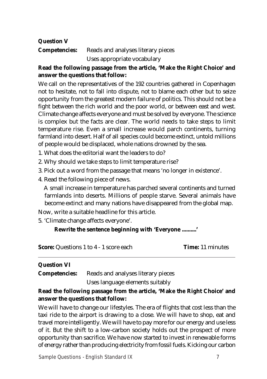## **Question V**

**Competencies:** Reads and analyses literary pieces

Uses appropriate vocabulary

## **Read the following passage from the article, 'Make the Right Choice' and answer the questions that follow:**

We call on the representatives of the 192 countries gathered in Copenhagen not to hesitate, not to fall into dispute, not to blame each other but to seize opportunity from the greatest modern failure of politics. This should not be a fight between the rich world and the poor world, or between east and west. Climate change affects everyone and must be solved by everyone. The science is complex but the facts are clear. The world needs to take steps to limit temperature rise. Even a small increase would parch continents, turning farmland into desert. Half of all species could become extinct, untold millions of people would be displaced, whole nations drowned by the sea.

- 1. What does the editorial want the leaders to do?
- 2. Why should we take steps to limit temperature rise?
- 3. Pick out a word from the passage that means 'no longer in existence'.
- 4. Read the following piece of news.

 A small increase in temperature has parched several continents and turned farmlands into deserts. Millions of people starve. Several animals have become extinct and many nations have disappeared from the global map.

Now, write a suitable headline for this article.

5. 'Climate change affects everyone'.

## **Rewrite the sentence beginning with 'Everyone ..........'**

**Score:** Questions 1 to 4 - 1 score each **Time:** 11 minutes

## **Question VI**

**Competencies:** Reads and analyses literary pieces Uses language elements suitably

## **Read the following passage from the article, 'Make the Right Choice' and answer the questions that follow:**

We will have to change our lifestyles. The era of flights that cost less than the taxi ride to the airport is drawing to a close. We will have to shop, eat and travel more intelligently. We will have to pay more for our energy and use less of it. But the shift to a low-carbon society holds out the prospect of more opportunity than sacrifice. We have now started to invest in renewable forms of energy rather than producing electricity from fossil fuels. Kicking our carbon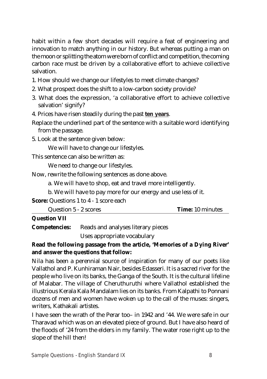habit within a few short decades will require a feat of engineering and innovation to match anything in our history. But whereas putting a man on the moon or splitting the atom were born of conflict and competition, the coming carbon race must be driven by a collaborative effort to achieve collective salvation.

- 1. How should we change our lifestyles to meet climate changes?
- 2. What prospect does the shift to a low-carbon society provide?
- 3. What does the expression, 'a collaborative effort to achieve collective salvation' signify?
- 4. Prices have risen steadily during the past **ten years**.
- Replace the underlined part of the sentence with a suitable word identifying from the passage.
- 5. Look at the sentence given below:

We will have to change our lifestyles.

This sentence can also be written as:

We need to change our lifestyles.

Now, rewrite the following sentences as done above.

a. We will have to shop, eat and travel more intelligently.

b. We will have to pay more for our energy and use less of it.

**Score:** Questions 1 to 4 - 1 score each

| <b>Time:</b> 10 minutes<br>Question 5 - 2 scores |
|--------------------------------------------------|
|--------------------------------------------------|

## **Question VII**

**Competencies:** Reads and analyses literary pieces

Uses appropriate vocabulary

## **Read the following passage from the article, 'Memories of a Dying River' and answer the questions that follow:**

Nila has been a perennial source of inspiration for many of our poets like Vallathol and P. Kunhiraman Nair, besides Edasseri. It is a sacred river for the people who live on its banks, the Ganga of the South. It is the cultural lifeline of Malabar. The village of Cheruthuruthi where Vallathol established the illustrious Kerala Kala Mandalam lies on its banks. From Kalpathi to Ponnani dozens of men and women have woken up to the call of the muses: singers, writers, Kathakali artistes.

I have seen the wrath of the Perar too– in 1942 and '44. We were safe in our Tharavad which was on an elevated piece of ground. But I have also heard of the floods of '24 from the elders in my family. The water rose right up to the slope of the hill then!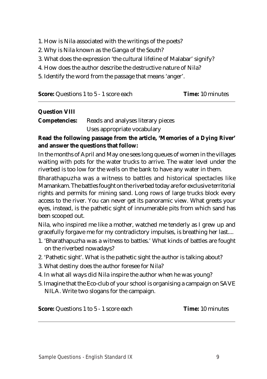- 1. How is Nila associated with the writings of the poets?
- 2. Why is Nila known as the Ganga of the South?
- 3. What does the expression 'the cultural lifeline of Malabar' signify?
- 4. How does the author describe the destructive nature of Nila?
- 5. Identify the word from the passage that means 'anger'.

| <b>Score:</b> Questions 1 to 5 - 1 score each | <b>Time:</b> 10 minutes |
|-----------------------------------------------|-------------------------|
|-----------------------------------------------|-------------------------|

#### **Question VIII**

| <b>Competencies:</b> | Reads and analyses literary pieces |  |  |
|----------------------|------------------------------------|--|--|
|                      | Uses appropriate vocabulary        |  |  |

**Read the following passage from the article, 'Memories of a Dying River' and answer the questions that follow:**

In the months of April and May one sees long queues of women in the villages waiting with pots for the water trucks to arrive. The water level under the riverbed is too low for the wells on the bank to have any water in them.

Bharathapuzha was a witness to battles and historical spectacles like Mamankam. The battles fought on the riverbed today are for exclusive territorial rights and permits for mining sand. Long rows of large trucks block every access to the river. You can never get its panoramic view. What greets your eyes, instead, is the pathetic sight of innumerable pits from which sand has been scooped out.

Nila, who inspired me like a mother, watched me tenderly as I grew up and gracefully forgave me for my contradictory impulses, is breathing her last....

- 1. 'Bharathapuzha was a witness to battles.' What kinds of battles are fought on the riverbed nowadays?
- 2. 'Pathetic sight'. What is the pathetic sight the author is talking about?
- 3. What destiny does the author foresee for Nila?
- 4. In what all ways did Nila inspire the author when he was young?
- 5. Imagine that the Eco-club of your school is organising a campaign on SAVE NILA. Write two slogans for the campaign.

**Score:** Questions 1 to 5 - 1 score each **Time:** 10 minutes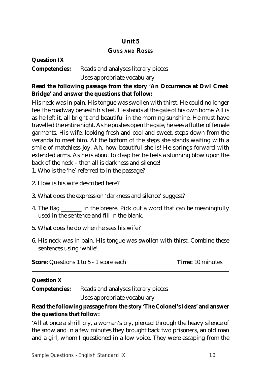## **Unit 5**

## **GUNS AND ROSES**

## **Question IX Competencies:** Reads and analyses literary pieces Uses appropriate vocabulary

## **Read the following passage from the story 'An Occurrence at Owl Creek Bridge' and answer the questions that follow:**

His neck was in pain. His tongue was swollen with thirst. He could no longer feel the roadway beneath his feet. He stands at the gate of his own home. All is as he left it, all bright and beautiful in the morning sunshine. He must have travelled the entire night. As he pushes open the gate, he sees a flutter of female garments. His wife, looking fresh and cool and sweet, steps down from the veranda to meet him. At the bottom of the steps she stands waiting with a smile of matchless joy. Ah, how beautiful she is! He springs forward with extended arms. As he is about to clasp her he feels a stunning blow upon the back of the neck – then all is darkness and silence!

1. Who is the 'he' referred to in the passage?

- 2. How is his wife described here?
- 3. What does the expression 'darkness and silence' suggest?
- 4. The flag \_\_\_\_\_\_\_ in the breeze. Pick out a word that can be meaningfully used in the sentence and fill in the blank.
- 5. What does he do when he sees his wife?
- 6. His neck was in pain. His tongue was swollen with thirst. Combine these sentences using 'while'.

**Score:** Questions 1 to 5 - 1 score each **Time:** 10 minutes

## **Question X**

**Competencies:** Reads and analyses literary pieces

Uses appropriate vocabulary

## **Read the following passage from the story 'The Colonel's Ideas' and answer the questions that follow:**

'All at once a shrill cry, a woman's cry, pierced through the heavy silence of the snow and in a few minutes they brought back two prisoners, an old man and a girl, whom I questioned in a low voice. They were escaping from the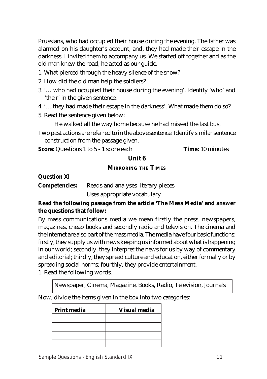Prussians, who had occupied their house during the evening. The father was alarmed on his daughter's account, and, they had made their escape in the darkness. I invited them to accompany us. We started off together and as the old man knew the road, he acted as our guide.

- 1. What pierced through the heavy silence of the snow?
- 2. How did the old man help the soldiers?
- 3. '… who had occupied their house during the evening'. Identify 'who' and 'their' in the given sentence.
- 4. '… they had made their escape in the darkness'. What made them do so?
- 5. Read the sentence given below:

He walked all the way home because he had missed the last bus.

Two past actions are referred to in the above sentence. Identify similar sentence construction from the passage given.

**Score:** Questions 1 to 5 - 1 score each **Time:** 10 minutes

# **Unit 6**

## **MIRRORING THE TIMES**

## **Question XI**

**Competencies:** Reads and analyses literary pieces

Uses appropriate vocabulary

## **Read the following passage from the article 'The Mass Media' and answer the questions that follow:**

By mass communications media we mean firstly the press, newspapers, magazines, cheap books and secondly radio and television. The cinema and the internet are also part of the mass media. The media have four basic functions: firstly, they supply us with news keeping us informed about what is happening in our world; secondly, they interpret the news for us by way of commentary and editorial; thirdly, they spread culture and education, either formally or by spreading social norms; fourthly, they provide entertainment.

1. Read the following words.

Newspaper, Cinema, Magazine, Books, Radio, Television, Journals

Now, divide the items given in the box into two categories:

| Print media | <b>Visual media</b> |
|-------------|---------------------|
|             |                     |
|             |                     |
|             |                     |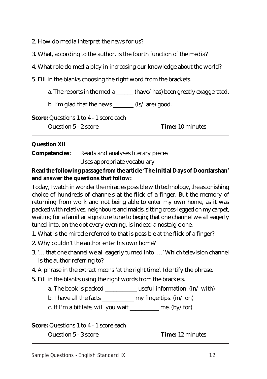2. How do media interpret the news for us?

- 3. What, according to the author, is the fourth function of the media?
- 4. What role do media play in increasing our knowledge about the world?
- 5. Fill in the blanks choosing the right word from the brackets.

a. The reports in the media \_\_\_\_\_\_ (have/has) been greatly exaggerated.

b. I'm glad that the news \_\_\_\_\_\_\_ (is/ are) good.

**Score:** Questions 1 to 4 - 1 score each

Question 5 - 2 score **Time:** 10 minutes

## **Question XII**

**Competencies:** Reads and analyses literary pieces Uses appropriate vocabulary

## **Read the following passage from the article 'The Initial Days of Doordarshan' and answer the questions that follow:**

Today, I watch in wonder the miracles possible with technology, the astonishing choice of hundreds of channels at the flick of a finger. But the memory of returning from work and not being able to enter my own home, as it was packed with relatives, neighbours and maids, sitting cross-legged on my carpet, waiting for a familiar signature tune to begin; that one channel we all eagerly tuned into, on the dot every evening, is indeed a nostalgic one.

- 1. What is the miracle referred to that is possible at the flick of a finger?
- 2. Why couldn't the author enter his own home?
- 3. '… that one channel we all eagerly turned into ….' Which television channel is the author referring to?
- 4. A phrase in the extract means 'at the right time'. Identify the phrase.
- 5. Fill in the blanks using the right words from the brackets.
	- a. The book is packed \_\_\_\_\_\_\_\_\_\_\_\_\_ useful information.  $(in/ with)$
	- b. I have all the facts  $\frac{1}{\sqrt{2\pi}}$  my fingertips. (in/ on)

c. If I'm a bit late, will you wait \_\_\_\_\_\_\_\_\_\_ me.  $(by / for)$ 

**Score:** Questions 1 to 4 - 1 score each

Question 5 - 3 score **Time:** 12 minutes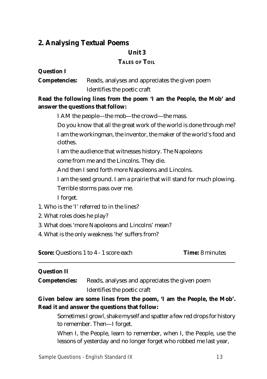## **2. Analysing Textual Poems**

#### **Unit 3**

## **TALES OF TOIL**

#### **Question I**

**Competencies:** Reads, analyses and appreciates the given poem Identifies the poetic craft

## **Read the following lines from the poem 'I am the People, the Mob' and answer the questions that follow:**

I AM the people—the mob—the crowd—the mass.

Do you know that all the great work of the world is done through me? I am the workingman, the inventor, the maker of the world's food and clothes.

I am the audience that witnesses history. The Napoleons

come from me and the Lincolns. They die.

And then I send forth more Napoleons and Lincolns.

I am the seed ground. I am a prairie that will stand for much plowing.

Terrible storms pass over me.

I forget.

- 1. Who is the 'I' referred to in the lines?
- 2. What roles does he play?
- 3. What does 'more Napoleons and Lincolns' mean?

4. What is the only weakness 'he' suffers from?

**Score:** Questions 1 to 4 - 1 score each **Time:** 8 minutes

## **Question II**

**Competencies:** Reads, analyses and appreciates the given poem Identifies the poetic craft

**Given below are some lines from the poem, 'I am the People, the Mob'. Read it and answer the questions that follow:**

Sometimes I growl, shake myself and spatter a few red drops for history to remember. Then—I forget.

When I, the People, learn to remember, when I, the People, use the lessons of yesterday and no longer forget who robbed me last year,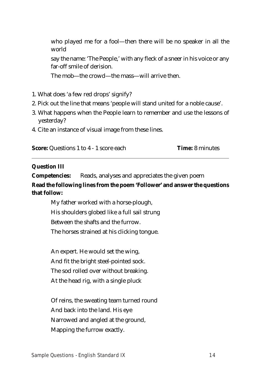who played me for a fool—then there will be no speaker in all the world say the name: 'The People,' with any fleck of a sneer in his voice or any far-off smile of derision. The mob—the crowd—the mass—will arrive then.

- 1. What does 'a few red drops' signify?
- 2. Pick out the line that means 'people will stand united for a noble cause'.
- 3. What happens when the People learn to remember and use the lessons of yesterday?
- 4. Cite an instance of visual image from these lines.

**Score:** Questions 1 to 4 - 1 score each **Time:** 8 minutes

#### **Question III**

**Competencies:** Reads, analyses and appreciates the given poem

**Read the following lines from the poem 'Follower' and answer the questions that follow:**

My father worked with a horse-plough, His shoulders globed like a full sail strung Between the shafts and the furrow. The horses strained at his clicking tongue.

An expert. He would set the wing, And fit the bright steel-pointed sock. The sod rolled over without breaking. At the head rig, with a single pluck

Of reins, the sweating team turned round And back into the land. His eye Narrowed and angled at the ground, Mapping the furrow exactly.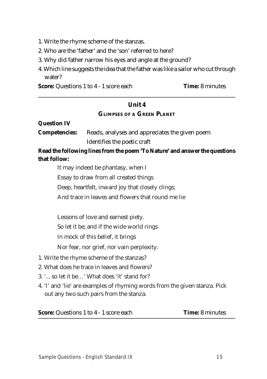- 1. Write the rhyme scheme of the stanzas.
- 2. Who are the 'father' and the 'son' referred to here?
- 3. Why did father narrow his eyes and angle at the ground?
- 4. Which line suggests the idea that the father was like a sailor who cut through water?

**Score:** Questions 1 to 4 - 1 score each **Time:** 8 minutes

## **Unit 4 GLIMPSES OF A GREEN PLANET**

| <b>Question IV</b>   |                                                                                                                       |
|----------------------|-----------------------------------------------------------------------------------------------------------------------|
| <b>Competencies:</b> | Reads, analyses and appreciates the given poem                                                                        |
|                      | Identifies the poetic craft                                                                                           |
|                      | Read the following lines from the poem 'To Nature' and answer the questions                                           |
| that follow:         |                                                                                                                       |
|                      | It may indeed be phantasy, when I                                                                                     |
|                      | Essay to draw from all created things                                                                                 |
|                      | Deep, heartfelt, inward joy that closely clings;                                                                      |
|                      | And trace in leaves and flowers that round me lie                                                                     |
|                      |                                                                                                                       |
|                      | Lessons of love and earnest piety.                                                                                    |
|                      | So let it be; and if the wide world rings                                                                             |
|                      | In mock of this belief, it brings                                                                                     |
|                      | Nor fear, nor grief, nor vain perplexity.                                                                             |
|                      | 1. Write the rhyme scheme of the stanzas?                                                                             |
|                      | 2. What does he trace in leaves and flowers?                                                                          |
|                      | 3. ' so let it be' What does 'it' stand for?                                                                          |
|                      | 4. 'I' and 'lie' are examples of rhyming words from the given stanza. Pick<br>out any two such pairs from the stanza. |
|                      | <b>Score:</b> Questions 1 to 4 - 1 score each<br><b>Time: 8 minutes</b>                                               |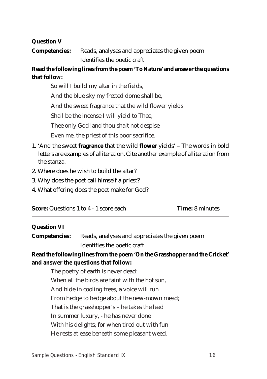#### **Question V**

**Competencies:** Reads, analyses and appreciates the given poem Identifies the poetic craft

## **Read the following lines from the poem 'To Nature' and answer the questions that follow:**

So will I build my altar in the fields,

And the blue sky my fretted dome shall be,

And the sweet fragrance that the wild flower yields

Shall be the incense I will yield to Thee,

Thee only God! and thou shalt not despise

Even me, the priest of this poor sacrifice.

- 1. 'And the sweet **fragrance** that the wild **flower** yields' The words in bold letters are examples of alliteration. Cite another example of alliteration from the stanza.
- 2. Where does he wish to build the altar?
- 3. Why does the poet call himself a priest?
- 4. What offering does the poet make for God?

| <b>Score:</b> Questions 1 to 4 - 1 score each | <b>Time:</b> 8 minutes |
|-----------------------------------------------|------------------------|
|-----------------------------------------------|------------------------|

#### **Question VI**

| <b>Competencies:</b> | Reads, analyses and appreciates the given poem |
|----------------------|------------------------------------------------|
|                      | Identifies the poetic craft                    |

## **Read the following lines from the poem 'On the Grasshopper and the Cricket' and answer the questions that follow:**

The poetry of earth is never dead: When all the birds are faint with the hot sun, And hide in cooling trees, a voice will run From hedge to hedge about the new-mown mead; That is the grasshopper's – he takes the lead In summer luxury, - he has never done With his delights; for when tired out with fun He rests at ease beneath some pleasant weed.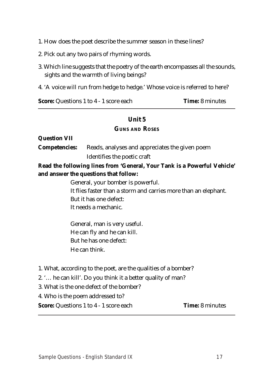- 1. How does the poet describe the summer season in these lines?
- 2. Pick out any two pairs of rhyming words.
- 3. Which line suggests that the poetry of the earth encompasses all the sounds, sights and the warmth of living beings?
- 4. 'A voice will run from hedge to hedge.' Whose voice is referred to here?

**Score:** Questions 1 to 4 - 1 score each **Time:** 8 minutes

## **Unit 5**

#### **GUNS AND ROSES**

**Question VII**

**Competencies:** Reads, analyses and appreciates the given poem Identifies the poetic craft

## **Read the following lines from 'General, Your Tank is a Powerful Vehicle' and answer the questions that follow:**

General, your bomber is powerful. It flies faster than a storm and carries more than an elephant. But it has one defect: It needs a mechanic.

General, man is very useful. He can fly and he can kill. But he has one defect: He can think.

- 1. What, according to the poet, are the qualities of a bomber?
- 2. '… he can kill'. Do you think it a better quality of man?
- 3. What is the one defect of the bomber?
- 4. Who is the poem addressed to?

**Score:** Questions 1 to 4 - 1 score each **Time:** 8 minutes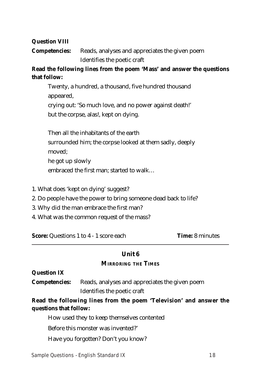#### **Question VIII**

**Competencies:** Reads, analyses and appreciates the given poem Identifies the poetic craft

## **Read the following lines from the poem 'Mass' and answer the questions that follow:**

Twenty, a hundred, a thousand, five hundred thousand appeared, crying out: 'So much love, and no power against death!' but the corpse, alas!, kept on dying.

Then all the inhabitants of the earth surrounded him; the corpse looked at them sadly, deeply moved; he got up slowly embraced the first man; started to walk…

- 1. What does 'kept on dying' suggest?
- 2. Do people have the power to bring someone dead back to life?
- 3. Why did the man embrace the first man?
- 4. What was the common request of the mass?

**Score:** Questions 1 to 4 - 1 score each **Time:** 8 minutes

## **Unit 6**

#### **MIRRORING THE TIMES**

#### **Question IX**

**Competencies:** Reads, analyses and appreciates the given poem Identifies the poetic craft

## **Read the following lines from the poem 'Television' and answer the questions that follow:**

How used they to keep themselves contented

Before this monster was invented?'

Have you forgotten? Don't you know?

#### **Sample Questions - English Standard IX 18**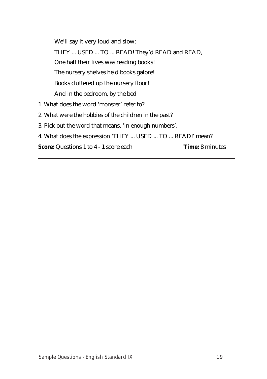We'll say it very loud and slow: THEY ... USED ... TO ... READ! They'd READ and READ, One half their lives was reading books! The nursery shelves held books galore! Books cluttered up the nursery floor! And in the bedroom, by the bed 1. What does the word 'monster' refer to?

- 2. What were the hobbies of the children in the past?
- 3. Pick out the word that means, 'in enough numbers'.
- 4. What does the expression 'THEY ... USED ... TO ... READ!' mean?

**Score:** Questions 1 to 4 - 1 score each **Time:** 8 minutes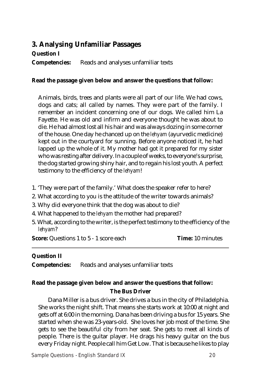## **3. Analysing Unfamiliar Passages**

## **Question I**

**Competencies:** Reads and analyses unfamiliar texts

## **Read the passage given below and answer the questions that follow:**

Animals, birds, trees and plants were all part of our life. We had cows, dogs and cats; all called by names. They were part of the family. I remember an incident concerning one of our dogs. We called him La Fayette. He was old and infirm and everyone thought he was about to die. He had almost lost all his hair and was always dozing in some corner of the house. One day he chanced up on the *lehyam* (ayurvedic medicine) kept out in the courtyard for sunning. Before anyone noticed it, he had lapped up the whole of it. My mother had got it prepared for my sister who was resting after delivery. In a couple of weeks, to everyone's surprise, the dog started growing shiny hair, and to regain his lost youth. A perfect testimony to the efficiency of the *lehyam*!

- 1. 'They were part of the family.' What does the speaker refer to here?
- 2. What according to you is the attitude of the writer towards animals?
- 3. Why did everyone think that the dog was about to die?
- 4. What happened to the *lehyam* the mother had prepared?
- 5. What, according to the writer, is the perfect testimony to the efficiency of the *lehyam*?

**Score:** Questions 1 to 5 - 1 score each **Time:** 10 minutes

## **Question II**

**Competencies:** Reads and analyses unfamiliar texts

## **Read the passage given below and answer the questions that follow:**

#### **The Bus Driver**

Dana Miller is a bus driver. She drives a bus in the city of Philadelphia. She works the night shift. That means she starts work at 10:00 at night and gets off at 6:00 in the morning. Dana has been driving a bus for 15 years. She started when she was 23-years-old. She loves her job most of the time. She gets to see the beautiful city from her seat. She gets to meet all kinds of people. There is the guitar player. He drags his heavy guitar on the bus every Friday night. People call him Get Low. That is because he likes to play

**Sample Questions - English Standard IX 20**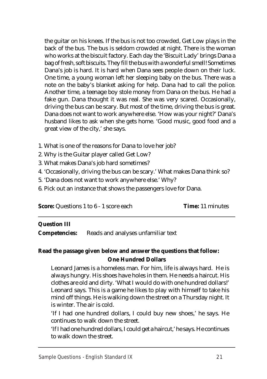the guitar on his knees. If the bus is not too crowded, Get Low plays in the back of the bus. The bus is seldom crowded at night. There is the woman who works at the biscuit factory. Each day the 'Biscuit Lady' brings Dana a bag of fresh, soft biscuits. They fill the bus with a wonderful smell! Sometimes Dana's job is hard. It is hard when Dana sees people down on their luck. One time, a young woman left her sleeping baby on the bus. There was a note on the baby's blanket asking for help. Dana had to call the police. Another time, a teenage boy stole money from Dana on the bus. He had a fake gun. Dana thought it was real. She was very scared. Occasionally, driving the bus can be scary. But most of the time, driving the bus is great. Dana does not want to work anywhere else. 'How was your night?' Dana's husband likes to ask when she gets home. 'Good music, good food and a great view of the city,' she says.

- 1. What is one of the reasons for Dana to love her job?
- 2. Why is the Guitar player called Get Low?
- 3. What makes Dana's job hard sometimes?
- 4. 'Occasionally, driving the bus can be scary.' What makes Dana think so?
- 5. 'Dana does not want to work anywhere else.' Why?
- 6. Pick out an instance that shows the passengers love for Dana.

**Score:** Questions 1 to 6 - 1 score each **Time:** 11 minutes

## **Question III**

**Competencies:** Reads and analyses unfamiliar text

## **Read the passage given below and answer the questions that follow: One Hundred Dollars**

Leonard James is a homeless man. For him, life is always hard. He is always hungry. His shoes have holes in them. He needs a haircut. His clothes are old and dirty. 'What I would do with one hundred dollars!' Leonard says. This is a game he likes to play with himself to take his mind off things. He is walking down the street on a Thursday night. It is winter. The air is cold.

'If I had one hundred dollars, I could buy new shoes,' he says. He continues to walk down the street.

'If I had one hundred dollars, I could get a haircut,' he says. He continues to walk down the street.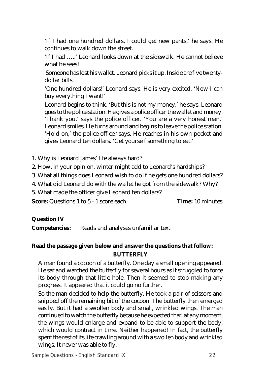'If I had one hundred dollars, I could get new pants,' he says. He continues to walk down the street.

'If I had …..' Leonard looks down at the sidewalk. He cannot believe what he sees!

 Someone has lost his wallet. Leonard picks it up. Inside are five twentydollar bills.

'One hundred dollars!' Leonard says. He is very excited. 'Now I can buy everything I want!'

Leonard begins to think. 'But this is not my money,' he says. Leonard goes to the police station. He gives a police officer the wallet and money. 'Thank you,' says the police officer. 'You are a very honest man.' Leonard smiles. He turns around and begins to leave the police station. 'Hold on,' the police officer says. He reaches in his own pocket and gives Leonard ten dollars. 'Get yourself something to eat.'

- 1. Why is Leonard James' life always hard?
- 2. How, in your opinion, winter might add to Leonard's hardships?
- 3. What all things does Leonard wish to do if he gets one hundred dollars?
- 4. What did Leonard do with the wallet he got from the sidewalk? Why?
- 5. What made the officer give Leonard ten dollars?

**Score:** Questions 1 to 5 - 1 score each **Time:** 10 minutes

#### **Question IV**

**Competencies:** Reads and analyses unfamiliar text

## **Read the passage given below and answer the questions that follow: BUTTERFLY**

A man found a cocoon of a butterfly. One day a small opening appeared. He sat and watched the butterfly for several hours as it struggled to force its body through that little hole. Then it seemed to stop making any progress. It appeared that it could go no further.

So the man decided to help the butterfly. He took a pair of scissors and snipped off the remaining bit of the cocoon. The butterfly then emerged easily. But it had a swollen body and small, wrinkled wings. The man continued to watch the butterfly because he expected that, at any moment, the wings would enlarge and expand to be able to support the body, which would contract in time. Neither happened! In fact, the butterfly spent the rest of its life crawling around with a swollen body and wrinkled wings. It never was able to fly.

**Sample Questions - English Standard IX 22**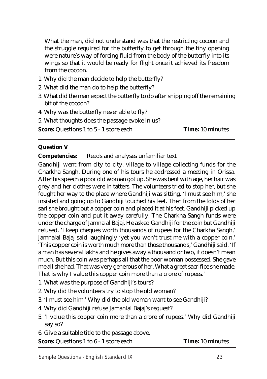What the man, did not understand was that the restricting cocoon and the struggle required for the butterfly to get through the tiny opening were nature's way of forcing fluid from the body of the butterfly into its wings so that it would be ready for flight once it achieved its freedom from the cocoon.

- 1. Why did the man decide to help the butterfly?
- 2. What did the man do to help the butterfly?
- 3. What did the man expect the butterfly to do after snipping off the remaining bit of the cocoon?
- 4. Why was the butterfly never able to fly?
- 5. What thoughts does the passage evoke in us?

**Score:** Questions 1 to 5 - 1 score each **Time:** 10 minutes

## **Question V**

**Competencies:** Reads and analyses unfamiliar text

Gandhiji went from city to city, village to village collecting funds for the Charkha Sangh. During one of his tours he addressed a meeting in Orissa. After his speech a poor old woman got up. She was bent with age, her hair was grey and her clothes were in tatters. The volunteers tried to stop her, but she fought her way to the place where Gandhiji was sitting. 'I must see him,' she insisted and going up to Gandhiji touched his feet. Then from the folds of her sari she brought out a copper coin and placed it at his feet. Gandhiji picked up the copper coin and put it away carefully. The Charkha Sangh funds were under the charge of Jamnalal Bajaj. He asked Gandhiji for the coin but Gandhiji refused. 'I keep cheques worth thousands of rupees for the Charkha Sangh,' Jamnalal Bajaj said laughingly 'yet you won't trust me with a copper coin.' 'This copper coin is worth much more than those thousands,' Gandhiji said. 'If a man has several lakhs and he gives away a thousand or two, it doesn't mean much. But this coin was perhaps all that the poor woman possessed. She gave me all she had. That was very generous of her. What a great sacrifice she made. That is why I value this copper coin more than a crore of rupees.'

- 1. What was the purpose of Gandhiji's tours?
- 2. Why did the volunteers try to stop the old woman?
- 3. 'I must see him.' Why did the old woman want to see Gandhiji?
- 4. Why did Gandhiji refuse Jamanlal Bajaj's request?
- 5. 'I value this copper coin more than a crore of rupees.' Why did Gandhiji say so?
- 6. Give a suitable title to the passage above.

**Score:** Questions 1 to 6 - 1 score each **Time:** 10 minutes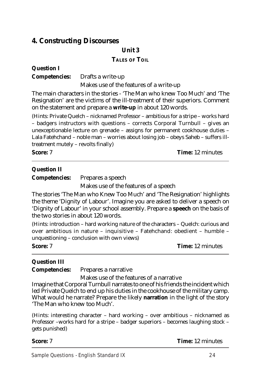## **4. Constructing Discourses**

## **Unit 3**

#### **TALES OF TOIL**

## **Question I**

**Competencies:** Drafts a write-up

Makes use of the features of a write-up

The main characters in the stories - 'The Man who knew Too Much' and 'The Resignation' are the victims of the ill-treatment of their superiors. Comment on the statement and prepare a **write-up** in about 120 words.

(Hints: Private Quelch – nicknamed Professor – ambitious for a stripe – works hard – badgers instructors with questions – corrects Corporal Turnbull – gives an unexceptionable lecture on grenade – assigns for permanent cookhouse duties – Lala Fatehchand – noble man – worries about losing job – obeys Saheb – suffers illtreatment mutely – revolts finally)

**Score:** 7 **Time:** 12 minutes

## **Question II**

**Competencies:** Prepares a speech

Makes use of the features of a speech

The stories 'The Man who Knew Too Much' and 'The Resignation' highlights the theme 'Dignity of Labour'. Imagine you are asked to deliver a speech on 'Dignity of Labour' in your school assembly. Prepare a **speech** on the basis of the two stories in about 120 words.

(Hints: introduction – hard working nature of the characters – Quelch: curious and over ambitious in nature – inquisitive – Fatehchand: obedient – humble – unquestioning – conclusion with own views)

**Score:** 7 **Time:** 12 minutes

## **Question III**

**Competencies:** Prepares a narrative

Makes use of the features of a narrative

Imagine that Corporal Turnbull narrates to one of his friends the incident which led Private Quelch to end up his duties in the cookhouse of the military camp. What would he narrate? Prepare the likely **narration** in the light of the story 'The Man who knew too Much'.

(Hints: interesting character – hard working – over ambitious – nicknamed as Professor –works hard for a stripe – badger superiors – becomes laughing stock – gets punished)

**Score:** 7 **Time:** 12 minutes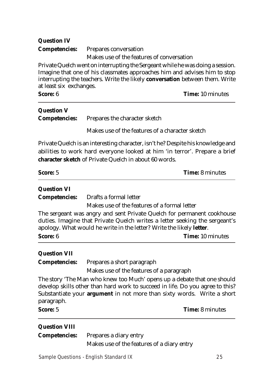| <b>Question IV</b> |                                                                                |
|--------------------|--------------------------------------------------------------------------------|
|                    | <b>Competencies:</b> Prepares conversation                                     |
|                    | Makes use of the features of conversation                                      |
|                    | Private Quelch went on interrupting the Sergeant while he was doing a session. |

Imagine that one of his classmates approaches him and advises him to stop interrupting the teachers. Write the likely **conversation** between them. Write at least six exchanges.

**Score:** 6 **Time:** 10 minutes

| <b>Question V</b> |                                                    |  |                                                                   |  |  |
|-------------------|----------------------------------------------------|--|-------------------------------------------------------------------|--|--|
|                   | <b>Competencies:</b> Prepares the character sketch |  |                                                                   |  |  |
|                   |                                                    |  | $\mathbf{r} \cdot \mathbf{r}$ , and $\mathbf{r} \cdot \mathbf{r}$ |  |  |

Makes use of the features of a character sketch

Private Quelch is an interesting character, isn't he? Despite his knowledge and abilities to work hard everyone looked at him 'in terror'. Prepare a brief **character sketch** of Private Quelch in about 60 words.

| <b>Question VI</b>   |                                                                                                                                                                                                                              |
|----------------------|------------------------------------------------------------------------------------------------------------------------------------------------------------------------------------------------------------------------------|
| <b>Competencies:</b> | Drafts a formal letter                                                                                                                                                                                                       |
|                      | Makes use of the features of a formal letter                                                                                                                                                                                 |
|                      | The sergeant was angry and sent Private Quelch for permanent cookhouse<br>duties. Imagine that Private Quelch writes a letter seeking the sergeant's<br>apology. What would he write in the letter? Write the likely letter. |
| <b>Score: 6</b>      | <b>Time:</b> 10 minutes                                                                                                                                                                                                      |
| <b>Question VII</b>  |                                                                                                                                                                                                                              |
| <b>Competencies:</b> | Prepares a short paragraph                                                                                                                                                                                                   |
|                      | Makes use of the features of a paragraph                                                                                                                                                                                     |

The story 'The Man who knew too Much' opens up a debate that one should develop skills other than hard work to succeed in life. Do you agree to this? Substantiate your **argument** in not more than sixty words. Write a short paragraph.

**Score:** 5 **Time:** 8 minutes

| <b>Question VIII</b> |  |
|----------------------|--|
|----------------------|--|

| <b>Competencies:</b> Prepares a diary entry |
|---------------------------------------------|
| Makes use of the features of a diary entry  |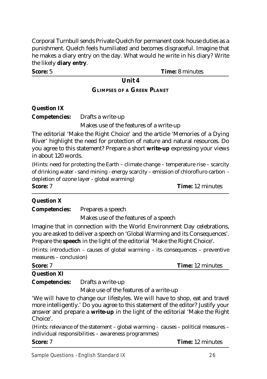Corporal Turnbull sends Private Quelch for permanent cook house duties as a punishment. Quelch feels humiliated and becomes disgraceful. Imagine that he makes a diary entry on the day. What would he write in his diary? Write the likely **diary entry**.

**Score:** 5 **Time:** 8 minutes

## **Unit 4**

## **GLIMPSES OF A GREEN PLANET**

## **Question IX**

**Competencies:** Drafts a write-up

Makes use of the features of a write-up

The editorial 'Make the Right Choice' and the article 'Memories of a Dying River' highlight the need for protection of nature and natural resources. Do you agree to this statement? Prepare a short **write-up** expressing your views in about 120 words.

(Hints: need for protecting the Earth – climate change – temperature rise – scarcity of drinking water - sand mining - energy scarcity – emission of chlorofluro carbon depletion of ozone layer - global warming)

**Score:** 7 **Time:** 12 minutes

## **Question X**

**Competencies:** Prepares a speech

Makes use of the features of a speech

Imagine that in connection with the World Environment Day celebrations, you are asked to deliver a speech on 'Global Warming and its Consequences'. Prepare the **speech** in the light of the editorial 'Make the Right Choice'.

(Hints: introduction – causes of global warming – its consequences – preventive measures – conclusion)

| Score: 7           |                                                                                                                                                                                                                                                                                                  | <b>Time:</b> 12 minutes |
|--------------------|--------------------------------------------------------------------------------------------------------------------------------------------------------------------------------------------------------------------------------------------------------------------------------------------------|-------------------------|
| <b>Question XI</b> |                                                                                                                                                                                                                                                                                                  |                         |
|                    | <b>Competencies:</b> Drafts a write-up                                                                                                                                                                                                                                                           |                         |
|                    | $\mathbf{r}$ and $\mathbf{r}$ and $\mathbf{r}$ and $\mathbf{r}$ and $\mathbf{r}$ and $\mathbf{r}$ and $\mathbf{r}$ and $\mathbf{r}$ and $\mathbf{r}$ and $\mathbf{r}$ and $\mathbf{r}$ and $\mathbf{r}$ and $\mathbf{r}$ and $\mathbf{r}$ and $\mathbf{r}$ and $\mathbf{r}$ and $\mathbf{r}$ and |                         |

Make use of the features of a write-up

'We will have to change our lifestyles. We will have to shop, eat and travel more intelligently.' Do you agree to this statement of the editor? Justify your answer and prepare a **write-up** in the light of the editorial 'Make the Right Choice'.

(Hints: relevance of the statement – global warming - causes – political measures – individual responsibilities – awareness programmes)

**Score:** 7 **Time:** 12 minutes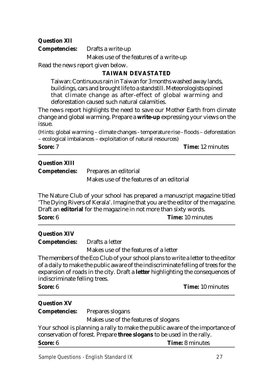## **Question XII**

**Competencies:** Drafts a write-up

Makes use of the features of a write-up

Read the news report given below.

## **TAIWAN DEVASTATED**

Taiwan: Continuous rain in Taiwan for 3 months washed away lands, buildings, cars and brought life to a standstill. Meteorologists opined that climate change as after-effect of global warming and deforestation caused such natural calamities.

The news report highlights the need to save our Mother Earth from climate change and global warming. Prepare a **write-up** expressing your views on the issue.

(Hints: global warming – climate changes - temperature rise - floods – deforestation – ecological imbalances – exploitation of natural resources)

**Score:** 7 **Time:** 12 minutes

## **Question XIII**

**Competencies:** Prepares an editorial Makes use of the features of an editorial

The Nature Club of your school has prepared a manuscript magazine titled 'The Dying Rivers of Kerala'. Imagine that you are the editor of the magazine. Draft an **editorial** for the magazine in not more than sixty words.

**Score:** 6 **Time:** 10 minutes

## **Question XIV**

**Competencies:** Drafts a letter

Makes use of the features of a letter

The members of the Eco Club of your school plans to write a letter to the editor of a daily to make the public aware of the indiscriminate felling of trees for the expansion of roads in the city. Draft a **letter** highlighting the consequences of indiscriminate felling trees.

**Score:** 6 **Time:** 10 minutes

## **Question XV**

**Competencies:** Prepares slogans

Makes use of the features of slogans

Your school is planning a rally to make the public aware of the importance of conservation of forest. Prepare **three slogans** to be used in the rally.

**Score:** 6 **Time:** 8 minutes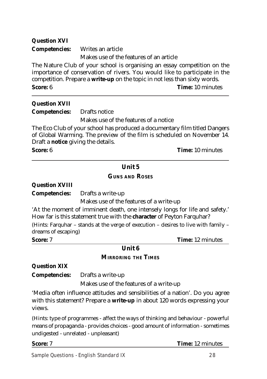| <b>Question XVI</b>  |                                                                                                                                                                                                                                      |
|----------------------|--------------------------------------------------------------------------------------------------------------------------------------------------------------------------------------------------------------------------------------|
| <b>Competencies:</b> | Writes an article                                                                                                                                                                                                                    |
|                      | Makes use of the features of an article                                                                                                                                                                                              |
|                      | The Nature Club of your school is organising an essay competition on the<br>importance of conservation of rivers. You would like to participate in the<br>competition. Prepare a write-up on the topic in not less than sixty words. |
| Score: 6             | <b>Time: 10 minutes</b>                                                                                                                                                                                                              |
| <b>Question XVII</b> |                                                                                                                                                                                                                                      |
| <b>Competencies:</b> | Drafts notice                                                                                                                                                                                                                        |
|                      | Makes use of the features of a notice                                                                                                                                                                                                |
|                      | The Eco Club of your school has produced a documentary film titled Dangers<br>of Global Warming. The preview of the film is scheduled on November 14.                                                                                |

Draft a **notice** giving the details.

**Score:** 6 **Time:** 10 minutes

## **Unit 5**

## **GUNS AND ROSES**

**Question XVIII**

**Competencies:** Drafts a write-up

Makes use of the features of a write-up

'At the moment of imminent death, one intensely longs for life and safety.' How far is this statement true with the **character** of Peyton Farquhar?

(Hints: Farquhar – stands at the verge of execution – desires to live with family – dreams of escaping)

**Score:** 7 **Time:** 12 minutes

## **Unit 6**

## **MIRRORING THE TIMES**

**Question XIX**

**Competencies:** Drafts a write-up

Makes use of the features of a write-up

'Media often influence attitudes and sensibilities of a nation'. Do you agree with this statement? Prepare a **write-up** in about 120 words expressing your views.

(Hints: type of programmes - affect the ways of thinking and behaviour - powerful means of propaganda - provides choices - good amount of information - sometimes undigested - unrelated - unpleasant)

**Score:** 7 **Time:** 12 minutes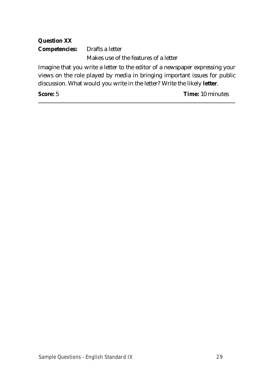## **Question XX Competencies:** Drafts a letter Makes use of the features of a letter

Imagine that you write a letter to the editor of a newspaper expressing your views on the role played by media in bringing important issues for public discussion. What would you write in the letter? Write the likely **letter**.

**Score:** 5 **Time:** 10 minutes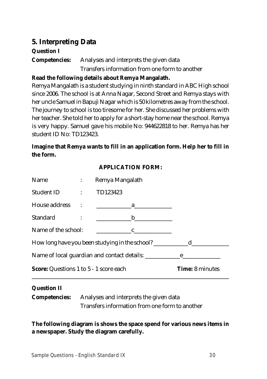## **5. Interpreting Data**

## **Question I**

**Competencies:** Analyses and interprets the given data Transfers information from one form to another

## **Read the following details about Remya Mangalath.**

Remya Mangalath is a student studying in ninth standard in ABC High school since 2006. The school is at Anna Nagar, Second Street and Remya stays with her uncle Samuel in Bapuji Nagar which is 50 kilometres away from the school. The journey to school is too tiresome for her. She discussed her problems with her teacher. She told her to apply for a short-stay home near the school. Remya is very happy. Samuel gave his mobile No: 944622818 to her. Remya has her student ID No: TD123423.

## **Imagine that Remya wants to fill in an application form. Help her to fill in the form.**

## **APPLICATION FORM:**

| Name<br>$\mathcal{L}(\mathcal{L}(\mathcal{L}))$ and $\mathcal{L}(\mathcal{L}(\mathcal{L}))$ |                                   | Remya Mangalath                                                                                                       |  |
|---------------------------------------------------------------------------------------------|-----------------------------------|-----------------------------------------------------------------------------------------------------------------------|--|
| <b>Student ID</b>                                                                           | <b>Contract Contract Contract</b> | TD123423                                                                                                              |  |
| <b>House address</b>                                                                        |                                   | <u> 1989 - John Harry Harry Harry Harry Harry Harry Harry Harry Harry Harry Harry Harry Harry Harry Harry Harry H</u> |  |
| Standard                                                                                    |                                   | $\mathbf b$                                                                                                           |  |
| Name of the school:                                                                         |                                   | $\mathbf{c}$                                                                                                          |  |
|                                                                                             |                                   |                                                                                                                       |  |
|                                                                                             |                                   | Name of local guardian and contact details: <u>_______________________</u>                                            |  |
| <b>Score:</b> Questions 1 to 5 - 1 score each                                               |                                   | <b>Time: 8 minutes</b>                                                                                                |  |
| $\mathbf{\Omega}$ $\mathbf{H}$                                                              |                                   |                                                                                                                       |  |

## **Question II**

**Competencies:** Analyses and interprets the given data Transfers information from one form to another

**The following diagram is shows the space spend for various news items in a newspaper. Study the diagram carefully.**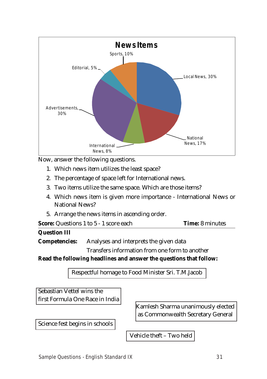

Now, answer the following questions.

- 1. Which news item utilizes the least space?
- 2. The percentage of space left for International news.
- 3. Two items utilize the same space. Which are those items?
- 4. Which news item is given more importance International News or National News?
- 5. Arrange the news items in ascending order.

| <b>Score:</b> Questions 1 to 5 - 1 score each<br><b>Time:</b> 8 minutes |  |
|-------------------------------------------------------------------------|--|
|-------------------------------------------------------------------------|--|

**Competencies:** Analyses and interprets the given data

Transfers information from one form to another

**Read the following headlines and answer the questions that follow:**

Respectful homage to Food Minister Sri. T.M.Jacob

Sebastian Vettel wins the first Formula One Race in India

Kamlesh Sharma unanimously elected as Commonwealth Secretary General

Science fest begins in schools

Vehicle theft – Two held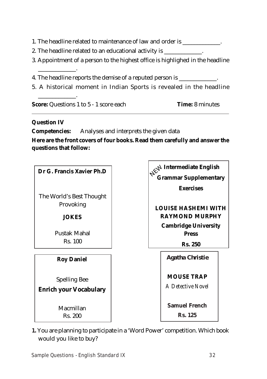1. The headline related to maintenance of law and order is \_\_\_\_\_\_\_\_\_\_\_\_\_.

2. The headline related to an educational activity is \_\_\_\_\_\_\_\_\_\_\_\_\_.

3. Appointment of a person to the highest office is highlighed in the headline

4. The headline reports the demise of a reputed person is

5. A historical moment in Indian Sports is revealed in the headline

**Score:** Questions 1 to 5 - 1 score each **Time:** 8 minutes

## **Question IV**

\_\_\_\_\_\_\_\_\_\_\_\_\_.

\_\_\_\_\_\_\_\_\_\_\_\_\_.

**Competencies:** Analyses and interprets the given data

**Here are the front covers of four books. Read them carefully and answer the questions that follow:**



**1.** You are planning to participate in a 'Word Power' competition. Which book would you like to buy?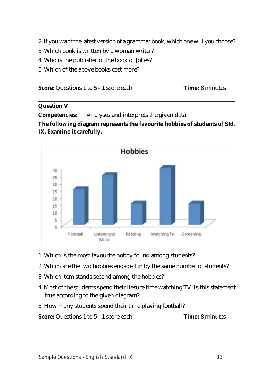- 2. If you want the latest version of a grammar book, which one will you choose?
- 3. Which book is written by a woman writer?
- 4. Who is the publisher of the book of Jokes?
- 5. Which of the above books cost more?

| <b>Score:</b> Questions 1 to 5 - 1 score each | <b>Time:</b> 8 minutes |
|-----------------------------------------------|------------------------|
|-----------------------------------------------|------------------------|

#### **Question V**

**Competencies:** Analyses and interprets the given data

**The following diagram represents the favourite hobbies of students of Std. IX. Examine it carefully.**



- 1. Which is the most favourite hobby found among students?
- 2. Which are the two hobbies engaged in by the same number of students?
- 3. Which item stands second among the hobbies?
- 4. Most of the students spend their liesure time watching TV. Is this statement true according to the given diagram?
- 5. How many students spend their time playing football?

**Score:** Questions 1 to 5 - 1 score each **Time:** 8 minutes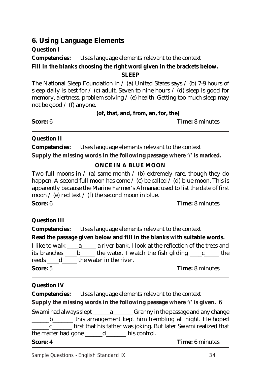## **6. Using Language Elements**

## **Question I**

**Competencies:** Uses language elements relevant to the context **Fill in the blanks choosing the right word given in the brackets below.**

**SLEEP**

The National Sleep Foundation in  $\ell$  (a) United States says  $\ell$  (b) 7-9 hours of sleep daily is best for  $\ell$  (c) adult. Seven to nine hours  $\ell$  (d) sleep is good for memory, alertness, problem solving / (e) health. Getting too much sleep may not be good  $/$  (f) anyone.

**(of, that, and, from, an, for, the)**

**Score:** 6 **Time:** 8 minutes

## **Question II**

**Competencies:** Uses language elements relevant to the context **Supply the missing words in the following passage where '/' is marked.**

## **ONCE IN A BLUE MOON**

Two full moons in  $\ell$  (a) same month  $\ell$  (b) extremely rare, though they do happen. A second full moon has come  $\ell$  (c) be called  $\ell$  (d) blue moon. This is apparently because the Marine Farmer's Almanac used to list the date of first moon  $\ell$  (e) red text  $\ell$  (f) the second moon in blue.

**Score:** 6 **Time:** 8 minutes

## **Question III**

**Competencies:** Uses language elements relevant to the context

## **Read the passage given below and fill in the blanks with suitable words.**

I like to walk \_\_\_\_a\_\_\_\_\_ a river bank. I look at the reflection of the trees and its branches  $\underline{\hspace{1cm}} b$  the water. I watch the fish gliding  $\underline{\hspace{1cm}} c$   $\underline{\hspace{1cm}} c$  the reeds \_\_\_\_\_\_ d\_\_\_\_\_\_\_ the water in the river.

**Score:** 5 **Time:** 8 minutes

## **Question IV**

**Competencies:** Uses language elements relevant to the context

**Supply the missing words in the following passage where '/' is given.** 6

Swami had always slept a channy in the passage and any change b b this arrangement kept him trembling all night. He hoped <u>\_c</u>\_\_\_\_\_\_\_\_\_ first that his father was joking. But later Swami realized that the matter had gone  $\underline{\phantom{a}}$  d  $\underline{\phantom{a}}$  his control.

**Score:** 4 **Time:** 6 minutes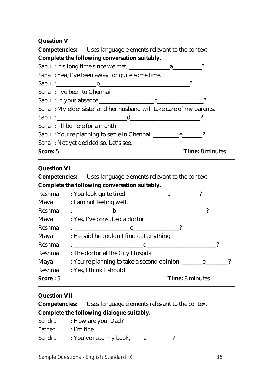## **Question V**

**Competencies:** Uses language elements relevant to the context **Complete the following conversation suitably.** Sabu : It's long time since we met, a manufactured a set of  $\alpha$ Sanal : Yea, I've been away for quite some time. Sabu : b <br>
Box 3 Sanal : I've been to Chennai. Sabu : In your absence \_\_\_\_\_\_\_\_\_\_\_\_\_\_\_\_\_\_\_c\_\_\_\_\_\_\_\_\_\_\_\_\_\_\_\_? Sanal : My elder sister and her husband will take care of my parents. Sabu : \_\_\_\_\_\_\_\_\_\_\_\_\_\_\_\_\_\_\_\_\_\_\_\_d\_\_\_\_\_\_\_\_\_\_\_\_\_\_\_\_\_\_\_\_\_\_\_\_? Sanal : I'll be here for a month Sabu: You're planning to settle in Chennai, \_\_\_\_\_\_\_\_\_\_\_\_\_\_\_\_\_\_\_\_? Sanal : Not yet decided so. Let's see. **Score:** 5 **Time:** 8 minutes

## **Question VI**

**Competencies:** Uses language elements relevant to the context **Complete the following conversation suitably.**

| Reshma   |                                                                                                        |
|----------|--------------------------------------------------------------------------------------------------------|
|          | Maya : I am not feeling well.                                                                          |
| Reshma   | $\mathbf{C}$ . The contract of $\mathbf{C}$<br>$\mathbf b$                                             |
| Maya     | : Yes, I've consulted a doctor.                                                                        |
| Reshma   | $\vdots$ $\qquad \qquad c$                                                                             |
| Maya     | : He said he couldn't find out anything.                                                               |
| Reshma   | $\mathbf d$<br>$\mathbf{1}_{\{1,2,3,4\}}$ . The contract of the contract of $\mathbf{1}_{\{1,2,3,4\}}$ |
| Reshma   | : The doctor at the City Hospital                                                                      |
| Maya     |                                                                                                        |
| Reshma   | : Yes, I think I should.                                                                               |
| Score: 5 | <b>Time: 8 minutes</b>                                                                                 |

## **Question VII**

**Competencies:** Uses language elements relevant to the context **Complete the following dialogue suitably.**

| Sandra | : How are you, Dad?    |
|--------|------------------------|
| Father | $\therefore$ I'm fine. |
| Sandra | : You've read my book, |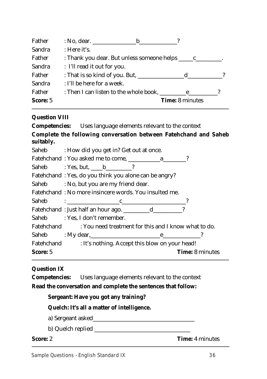| $: No.$ dear.<br>b.                         |
|---------------------------------------------|
| : Here it's.                                |
|                                             |
| : I'll read it out for you.                 |
| : That is so kind of you. But, ____<br>d    |
| : I'll be here for a week.                  |
| : Then I can listen to the whole book,<br>e |
| <b>Time: 8 minutes</b>                      |
|                                             |

#### **Question VIII**

**Competencies:** Uses language elements relevant to the context **Complete the following conversation between Fatehchand and Saheb suitably.**

| <b>Saheb</b> | : How did you get in? Get out at once. |  |
|--------------|----------------------------------------|--|
|--------------|----------------------------------------|--|

| Fatehchand: You asked me to come, |  |
|-----------------------------------|--|
|-----------------------------------|--|

| Saheb | : Yes, but, |  |  |
|-------|-------------|--|--|
|-------|-------------|--|--|

Fatehchand : Yes, do you think you alone can be angry?

Saheb : No, but you are my friend dear.

Fatehchand : No more insincere words. You insulted me.

| − |  |  |
|---|--|--|

|       | Fatehchand : Just half an hour ago. |  |
|-------|-------------------------------------|--|
| Saheb | : Yes. I don't remember.            |  |

Fatehchand : You need treatment for this and I know what to do.

Saheb : My dear, e Fatehchand : It's nothing. Accept this blow on your head!

**Score:** 5 **Time:** 8 minutes

## **Question IX**

**Competencies:** Uses language elements relevant to the context

**Read the conversation and complete the sentences that follow:**

#### **Sergeant: Have you got any training?**

## **Quelch: It's all a matter of intelligence.**

a) Sergeant asked\_\_\_\_\_\_\_\_\_\_\_\_\_\_\_\_\_\_\_\_\_\_\_\_\_\_\_\_\_\_\_\_\_\_\_

b) Quelch replied \_\_\_\_\_\_\_\_\_\_\_\_\_\_\_\_\_\_\_\_\_\_\_\_\_\_\_\_\_\_\_\_\_

**Score:** 2 **Time:** 4 minutes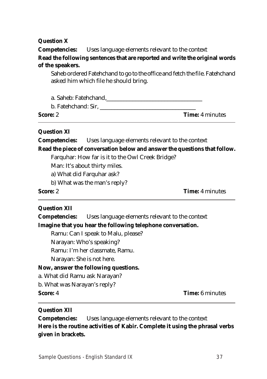**Question X**

**Competencies:** Uses language elements relevant to the context **Read the following sentences that are reported and write the original words of the speakers.**

Saheb ordered Fatehchand to go to the office and fetch the file. Fatehchand asked him which file he should bring.

a. Saheb: Fatehchand,

b. Fatehchand: Sir,

**Score:** 2 **Time:** 4 minutes

## **Question XI**

**Competencies:** Uses language elements relevant to the context

**Read the piece of conversation below and answer the questions that follow.**

Farquhar: How far is it to the Owl Creek Bridge?

Man: It's about thirty miles.

a) What did Farquhar ask?

b) What was the man's reply?

**Score:** 2 **Time:** 4 minutes

## **Question XII**

**Competencies:** Uses language elements relevant to the context **Imagine that you hear the following telephone conversation.**

Ramu: Can I speak to Malu, please?

Narayan: Who's speaking?

Ramu: I'm her classmate, Ramu.

Narayan: She is not here.

## **Now, answer the following questions.**

a. What did Ramu ask Narayan?

b. What was Narayan's reply?

**Score:** 4 **Time:** 6 minutes

## **Question XII**

**Competencies:** Uses language elements relevant to the context **Here is the routine activities of Kabir. Complete it using the phrasal verbs given in brackets.**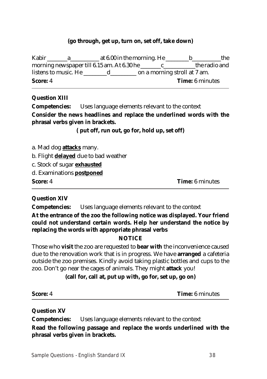#### **(go through, get up, turn on, set off, take down)**

Kabir \_\_\_\_\_\_\_a\_\_\_\_\_\_\_\_\_\_ at 6.00 in the morning. He \_\_\_\_\_\_\_\_b\_\_\_\_\_\_\_\_\_\_the morning newspaper till 6.15 am. At 6.30 he c the radio and listens to music. He \_\_\_\_\_\_\_\_d\_\_\_\_\_\_\_\_\_ on a morning stroll at 7 am. **Score:** 4 **Time:** 6 minutes

#### **Question XIII**

**Competencies:** Uses language elements relevant to the context **Consider the news headlines and replace the underlined words with the phrasal verbs given in brackets.**

**( put off, run out, go for, hold up, set off)**

a. Mad dog **attacks** many.

b. Flight **delayed** due to bad weather

c. Stock of sugar **exhausted**

d. Examinations **postponed**

**Score:** 4 **Time:** 6 minutes

**Question XIV**

**Competencies:** Uses language elements relevant to the context

**At the entrance of the zoo the following notice was displayed. Your friend could not understand certain words. Help her understand the notice by replacing the words with appropriate phrasal verbs**

## **NOTICE**

Those who **visit** the zoo are requested to **bear with** the inconvenience caused due to the renovation work that is in progress. We have **arranged** a cafeteria outside the zoo premises. Kindly avoid taking plastic bottles and cups to the zoo. Don't go near the cages of animals. They might **attack** you!

## **(call for, call at, put up with, go for, set up, go on)**

**Score:** 4 **Time:** 6 minutes

**Question XV**

**Competencies:** Uses language elements relevant to the context **Read the following passage and replace the words underlined with the phrasal verbs given in brackets.**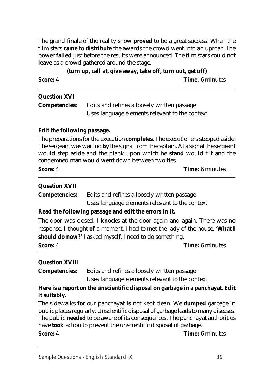The grand finale of the reality show **proved** to be a great success. When the film stars **came** to **distribute** the awards the crowd went into an uproar. The power **failed** just before the results were announced. The film stars could not **leave** as a crowd gathered around the stage.

**(turn up, call at, give away, take off, turn out, get off) Score:** 4 **Time**: 6 minutes

## **Question XVI**

| <b>Competencies:</b> | Edits and refines a loosely written passage    |
|----------------------|------------------------------------------------|
|                      | Uses language elements relevant to the context |

## **Edit the following passage.**

The preparations for the execution **completes**. The executioners stepped aside. The sergeant was waiting **by** the signal from the captain. At a signal the sergeant would step aside and the plank upon which he **stand** would tilt and the condemned man would **went** down between two ties.

| <b>Score:</b> 4 | <b>Time:</b> 6 minutes |
|-----------------|------------------------|
|-----------------|------------------------|

#### **Question XVII**

**Competencies:** Edits and refines a loosely written passage Uses language elements relevant to the context

## **Read the following passage and edit the errors in it.**

The door was closed. I **knocks** at the door again and again. There was no response. I thought **of** a moment. I had to **met** the lady of the house. **'What I should do now?'** I asked myself. I need to do something.

**Score:** 4 **Time:** 6 minutes

## **Question XVIII**

**Competencies:** Edits and refines a loosely written passage

Uses language elements relevant to the context

## **Here is a report on the unscientific disposal on garbage in a panchayat. Edit it suitably.**

The sidewalks **for** our panchayat **is** not kept clean. We **dumped** garbage in public places regularly. Unscientific disposal of garbage leads to many diseases. The public **needed** to be aware of its consequences. The panchayat authorities have **took** action to prevent the unscientific disposal of garbage.

**Score:** 4 **Time:** 6 minutes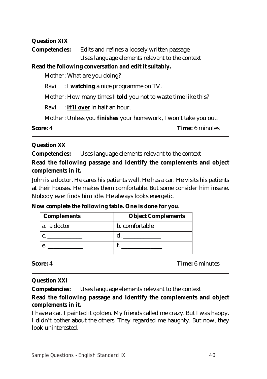**Question XIX Competencies:** Edits and refines a loosely written passage Uses language elements relevant to the context **Read the following conversation and edit it suitably.** Mother: What are you doing? Ravi : I **watching** a nice programme on TV. Mother: How many times **I told** you not to waste time like this? Ravi : **It'll over** in half an hour. Mother: Unless you **finishes** your homework, I won't take you out. **Score:** 4 **Time:** 6 minutes

## **Question XX**

**Competencies:** Uses language elements relevant to the context

**Read the following passage and identify the complements and object complements in it.**

John is a doctor. He cares his patients well. He has a car. He visits his patients at their houses. He makes them comfortable. But some consider him insane. Nobody ever finds him idle. He always looks energetic.

**Now complete the following table. One is done for you.**

| <b>Complements</b> | <b>Object Complements</b> |
|--------------------|---------------------------|
| a. a doctor        | b. comfortable            |
|                    |                           |
|                    |                           |

**Score:** 4 **Time:** 6 minutes

## **Question XXI**

**Competencies:** Uses language elements relevant to the context

## **Read the following passage and identify the complements and object complements in it.**

I have a car. I painted it golden. My friends called me crazy. But I was happy. I didn't bother about the others. They regarded me haughty. But now, they look uninterested.